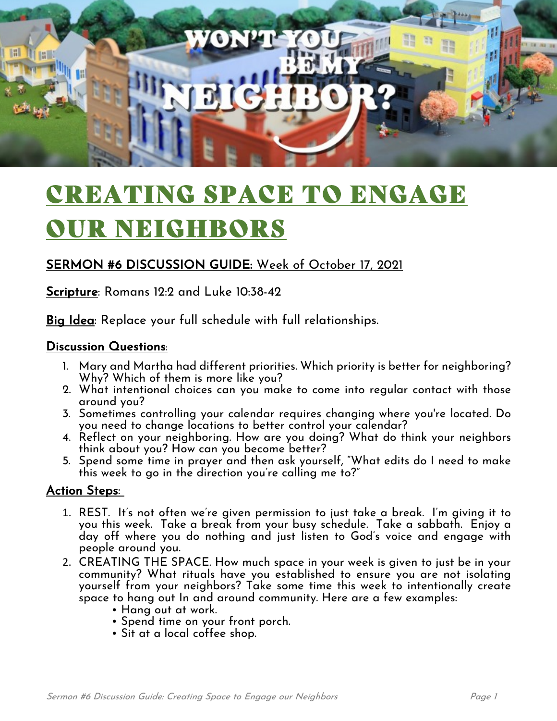

# CREATING SPACE TO ENGAGE OUR NEIGHBORS

### SERMON #6 DISCUSSION GUIDE: Week of October 17, 2021

Scripture: Romans 12:2 and Luke 10:38-42

Big Idea: Replace your full schedule with full relationships.

#### Discussion Questions:

- 1. Mary and Martha had different priorities. Which priority is better for neighboring? Why? Which of them is more like you?
- 2. What intentional choices can you make to come into regular contact with those around you?
- 3. Sometimes controlling your calendar requires changing where you're located. Do you need to change locations to better control your calendar?
- 4. Reflect on your neighboring. How are you doing? What do think your neighbors think about you? How can you become better?
- 5. Spend some time in prayer and then ask yourself, "What edits do I need to make this week to go in the direction you're calling me to?"

#### Action Steps:

- 1. REST. It's not often we're given permission to just take a break. I'm giving it to you this week. Take a break from your busy schedule. Take a sabbath. Enjoy a day off where you do nothing and just listen to God's voice and engage with people around you.
- 2. CREATING THE SPACE. How much space in your week is given to just be in your community? What rituals have you established to ensure you are not isolating yourself from your neighbors? Take some time this week to intentionally create space to hang out In and around community. Here are a few examples:
	- Hang out at work.
	- Spend time on your front porch.
	- Sit at a local coffee shop.